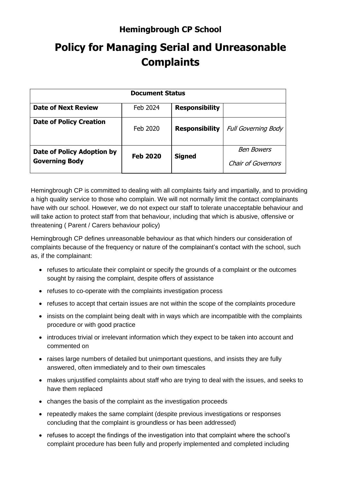## **Hemingbrough CP School**

## **Policy for Managing Serial and Unreasonable Complaints**

| <b>Document Status</b>                              |                 |                       |                                         |
|-----------------------------------------------------|-----------------|-----------------------|-----------------------------------------|
| <b>Date of Next Review</b>                          | Feb 2024        | <b>Responsibility</b> |                                         |
| <b>Date of Policy Creation</b>                      | Feb 2020        | <b>Responsibility</b> | <b>Full Governing Body</b>              |
| Date of Policy Adoption by<br><b>Governing Body</b> | <b>Feb 2020</b> | <b>Signed</b>         | <b>Ben Bowers</b><br>Chair of Governors |

Hemingbrough CP is committed to dealing with all complaints fairly and impartially, and to providing a high quality service to those who complain. We will not normally limit the contact complainants have with our school. However, we do not expect our staff to tolerate unacceptable behaviour and will take action to protect staff from that behaviour, including that which is abusive, offensive or threatening ( Parent / Carers behaviour policy)

Hemingbrough CP defines unreasonable behaviour as that which hinders our consideration of complaints because of the frequency or nature of the complainant's contact with the school, such as, if the complainant:

- refuses to articulate their complaint or specify the grounds of a complaint or the outcomes sought by raising the complaint, despite offers of assistance
- refuses to co-operate with the complaints investigation process
- refuses to accept that certain issues are not within the scope of the complaints procedure
- insists on the complaint being dealt with in ways which are incompatible with the complaints procedure or with good practice
- introduces trivial or irrelevant information which they expect to be taken into account and commented on
- raises large numbers of detailed but unimportant questions, and insists they are fully answered, often immediately and to their own timescales
- makes unjustified complaints about staff who are trying to deal with the issues, and seeks to have them replaced
- changes the basis of the complaint as the investigation proceeds
- repeatedly makes the same complaint (despite previous investigations or responses concluding that the complaint is groundless or has been addressed)
- refuses to accept the findings of the investigation into that complaint where the school's complaint procedure has been fully and properly implemented and completed including